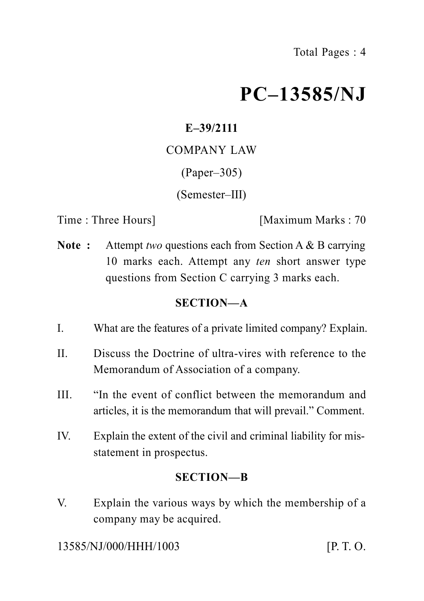# **PC–13585/NJ**

# **E–39/2111**

COMPANY LAW

(Paper–305)

(Semester–III)

Time : Three Hours] [Maximum Marks : 70

**Note :** Attempt *two* questions each from Section A & B carrying 10 marks each. Attempt any *ten* short answer type questions from Section C carrying 3 marks each.

# **SECTION—A**

- I. What are the features of a private limited company? Explain.
- II. Discuss the Doctrine of ultra-vires with reference to the Memorandum of Association of a company.
- III. "In the event of conflict between the memorandum and articles, it is the memorandum that will prevail." Comment.
- IV. Explain the extent of the civil and criminal liability for misstatement in prospectus.

### **SECTION—B**

V. Explain the various ways by which the membership of a company may be acquired.

13585/NJ/000/HHH/1003 [P. T. O.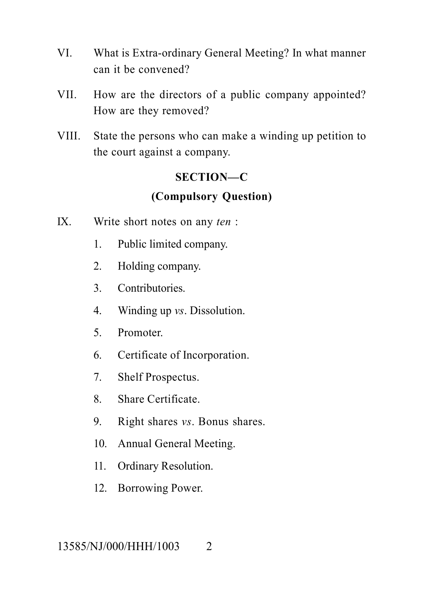- VI. What is Extra-ordinary General Meeting? In what manner can it be convened?
- VII. How are the directors of a public company appointed? How are they removed?
- VIII. State the persons who can make a winding up petition to the court against a company.

# **SECTION—C (Compulsory Question)**

- IX. Write short notes on any *ten* :
	- 1. Public limited company.
	- 2. Holding company.
	- 3. Contributories.
	- 4. Winding up *vs*. Dissolution.
	- 5. Promoter.
	- 6. Certificate of Incorporation.
	- 7. Shelf Prospectus.
	- 8. Share Certificate.
	- 9. Right shares *vs*. Bonus shares.
	- 10. Annual General Meeting.
	- 11. Ordinary Resolution.
	- 12. Borrowing Power.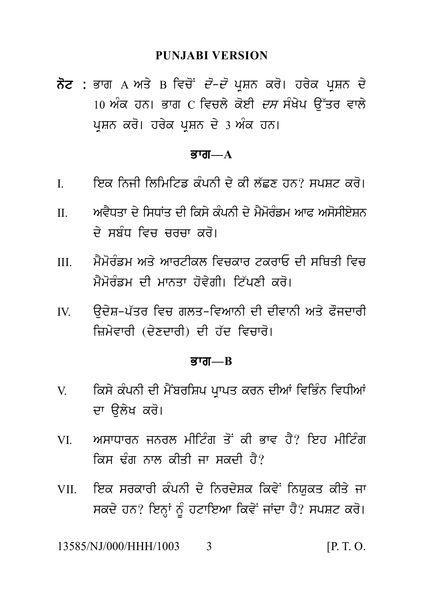### **PUNJABI VERSION**

ਨੋਟ : ਭਾਗ A ਅਤੇ B ਵਿਚੋਂ *ਦੋ–ਦੋ* ਪਸ਼ਨ ਕਰੋ। ਹਰੇਕ ਪਸ਼ਨ ਦੇ 10 ਅੰਕ ਹਨ। ਭਾਗ  $\,$  ਵਿਚਲੇ ਕੋਈ *ਦਸ* ਸੰਖੇਪ ਉੱਤਰ ਵਾਲੇ ਪ੍ਰਸ਼ਨ ਕਰੋ। ਹਰੇਕ ਪ੍ਰਸ਼ਨ ਦੇ 3 ਅੰਕ ਹਨ।

### ਕਾਗ $-\mathbf{A}$

- ਇਕ ਨਿਜੀ ਲਿਮਿਟਿਡ ਕੰਪਨੀ ਦੇ ਕੀ ਲੱਛਣ ਹਨ? ਸਪਸ਼ਟ ਕਰੋ।  $\mathbf{I}$
- ਅਵੈਧਤਾ ਦੇ ਸਿਧਾਂਤ ਦੀ ਕਿਸੇ ਕੰਪਨੀ ਦੇ ਮੈਮੋਰੰਡਮ ਆਫ਼ ਅਸੋਸੀਏਸ਼ਨ  $\mathbf{H}$ ਦੇ ਸੂਸੰਧ ਵਿਚ ਚਰਚਾ *ਕ*ਰੋ।
- ਮੈਮੋਰੰਡਮ ਅਤੇ ਆਰਟੀਕਲ ਵਿਚਕਾਰ ਟਕਰਾਓ ਦੀ ਸੂਸਿਤੀ ਵਿਚ  $III$ ਮੈਮੋਰੰਡਮ ਦੀ ਮਾਨਤਾ ਹੋਵੇਗੀ। ਟਿੱਪਣੀ ਕਰੋ।
- ਉਦੇਸ਼-ਪੱਤਰ ਵਿਚ ਗਲਤ-ਵਿਆਨੀ ਦੀ ਦੀਵਾਨੀ ਅਤੇ ਫੌਜਦਾਰੀ  $\mathbf{I}$ ਜ਼ਿਮੇਵਾਰੀ (ਦੇਣਦਾਰੀ) ਦੀ ਹੱਦ ਵਿਚਾਰੋ।

#### $\overline{g}$ गत $\overline{g}$

- ਕਿਸੇ ਕੰਪਨੀ ਦੀ ਮੈਂਬਰਸ਼ਿਪ ਪਾਪਤ ਕਰਨ ਦੀਆਂ ਵਿਭਿੰਨ ਵਿਧੀਆਂ  $V$ ਦਾ ੳਲੇਖ ਕਰੋ।
- ਅਸਾਧਾਰਨ ਜਨਰਲ ਮੀਟਿੰਗ ਤੋਂ ਕੀ ਭਾਵ ਹੈ? ਇਹ ਮੀਟਿੰਗ VI. ਕਿਸ ਢੰਗ ਨਾਲ ਕੀਤੀ ਜਾ ਸਕਦੀ ਹੈ?
- ਇਕ ਸਰਕਾਰੀ ਕੰਪਨੀ ਦੇ ਨਿਰਦੇਸ਼ਕ ਕਿਵੇਂ ਨਿਯਕਤ ਕੀਤੇ ਜਾ **VII** ਸਕਦੇ ਹਨ? ਇਨ੍ਹਾਂ ਨੂੰ ਹਟਾਇਆ ਕਿਵੇਂ ਜਾਂਦਾ ਹੈ? ਸਪਸ਼ਟ ਕਰੋ।

13585/NJ/000/HHH/1003  $[P, T, O]$  $\mathcal{L}$